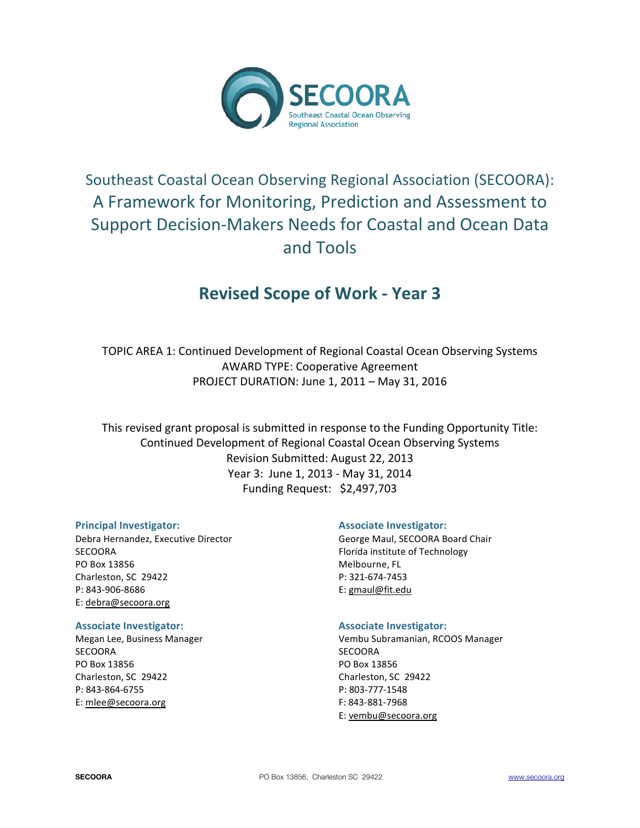

# Southeast Coastal Ocean Observing Regional Association (SECOORA): A Framework for Monitoring, Prediction and Assessment to Support Decision-Makers Needs for Coastal and Ocean Data and)Tools

# **Revised Scope of Work - Year 3**

TOPIC AREA 1: Continued Development of Regional Coastal Ocean Observing Systems AWARD TYPE: Cooperative Agreement PROJECT DURATION: June 1, 2011 - May 31, 2016

This revised grant proposal is submitted in response to the Funding Opportunity Title: Continued Development of Regional Coastal Ocean Observing Systems Revision Submitted: August 22, 2013 Year 3: June 1, 2013 - May 31, 2014 Funding Request: \$2,497,703

## **Principal'Investigator:'**

Debra Hernandez, Executive Director SECOORA PO Box 13856 Charleston, SC 29422 P: 843-906-8686 E: debra@secoora.org

#### **Associate Investigator:**

Megan Lee, Business Manager **SECOORA** PO Box 13856 Charleston, SC 29422 P: 843-864-6755 E: mlee@secoora.org

## **Associate Investigator:**

George Maul, SECOORA Board Chair Florida institute of Technology Melbourne, FL P: 321-674-7453 E: gmaul@fit.edu

## **Associate Investigator:**

Vembu Subramanian, RCOOS Manager **SECOORA** PO Box)13856 Charleston, SC 29422 P: 803-777-1548 F: 843-881-7968 E: vembu@secoora.org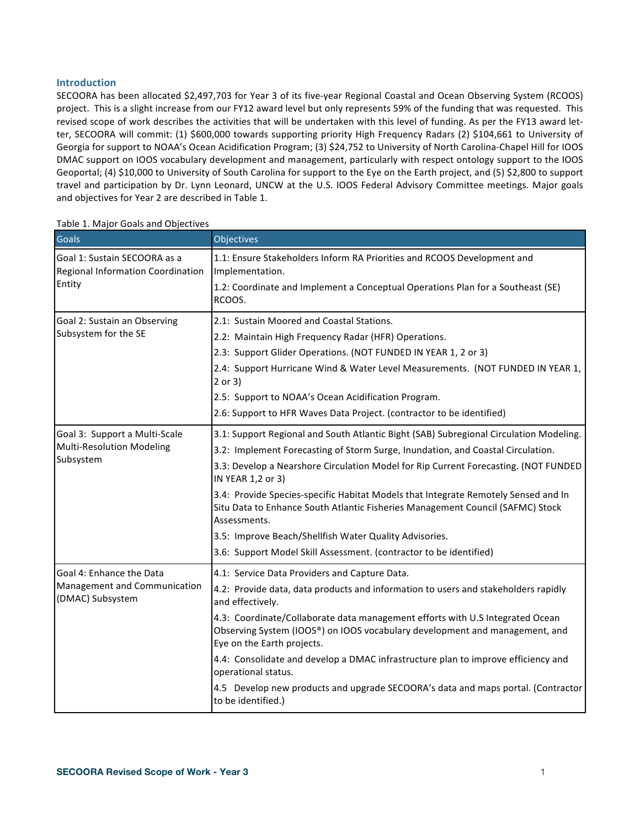#### **Introduction**

SECOORA has been allocated \$2,497,703 for Year 3 of its five-year Regional Coastal and Ocean Observing System (RCOOS) project. This is a slight increase from our FY12 award level but only represents 59% of the funding that was requested. This revised scope of work describes the activities that will be undertaken with this level of funding. As per the FY13 award letter, SECOORA will commit: (1) \$600,000 towards supporting priority High Frequency Radars (2) \$104,661 to University of Georgia for support to NOAA's Ocean Acidification Program; (3) \$24,752 to University of North Carolina-Chapel Hill for IOOS DMAC support on IOOS vocabulary development and management, particularly with respect ontology support to the IOOS Geoportal; (4) \$10,000 to University of South Carolina for support to the Eye on the Earth project, and (5) \$2,800 to support travel and participation by Dr. Lynn Leonard, UNCW at the U.S. IOOS Federal Advisory Committee meetings. Major goals and objectives for Year 2 are described in Table 1.

| <b>Goals</b>                                                      | Objectives                                                                                                                                                                                 |
|-------------------------------------------------------------------|--------------------------------------------------------------------------------------------------------------------------------------------------------------------------------------------|
| Goal 1: Sustain SECOORA as a<br>Regional Information Coordination | 1.1: Ensure Stakeholders Inform RA Priorities and RCOOS Development and<br>Implementation.                                                                                                 |
| Entity                                                            | 1.2: Coordinate and Implement a Conceptual Operations Plan for a Southeast (SE)<br>RCOOS.                                                                                                  |
| Goal 2: Sustain an Observing                                      | 2.1: Sustain Moored and Coastal Stations.                                                                                                                                                  |
| Subsystem for the SE                                              | 2.2: Maintain High Frequency Radar (HFR) Operations.                                                                                                                                       |
|                                                                   | 2.3: Support Glider Operations. (NOT FUNDED IN YEAR 1, 2 or 3)                                                                                                                             |
|                                                                   | 2.4: Support Hurricane Wind & Water Level Measurements. (NOT FUNDED IN YEAR 1,<br>$2$ or $3)$                                                                                              |
|                                                                   | 2.5: Support to NOAA's Ocean Acidification Program.                                                                                                                                        |
|                                                                   | 2.6: Support to HFR Waves Data Project. (contractor to be identified)                                                                                                                      |
| Goal 3: Support a Multi-Scale                                     | 3.1: Support Regional and South Atlantic Bight (SAB) Subregional Circulation Modeling.                                                                                                     |
| <b>Multi-Resolution Modeling</b>                                  | 3.2: Implement Forecasting of Storm Surge, Inundation, and Coastal Circulation.                                                                                                            |
| Subsystem                                                         | 3.3: Develop a Nearshore Circulation Model for Rip Current Forecasting. (NOT FUNDED<br>IN YEAR 1,2 or 3)                                                                                   |
|                                                                   | 3.4: Provide Species-specific Habitat Models that Integrate Remotely Sensed and In<br>Situ Data to Enhance South Atlantic Fisheries Management Council (SAFMC) Stock<br>Assessments.       |
|                                                                   | 3.5: Improve Beach/Shellfish Water Quality Advisories.                                                                                                                                     |
|                                                                   | 3.6: Support Model Skill Assessment. (contractor to be identified)                                                                                                                         |
| Goal 4: Enhance the Data                                          | 4.1: Service Data Providers and Capture Data.                                                                                                                                              |
| Management and Communication<br>(DMAC) Subsystem                  | 4.2: Provide data, data products and information to users and stakeholders rapidly<br>and effectively.                                                                                     |
|                                                                   | 4.3: Coordinate/Collaborate data management efforts with U.S Integrated Ocean<br>Observing System (IOOS®) on IOOS vocabulary development and management, and<br>Eye on the Earth projects. |
|                                                                   | 4.4: Consolidate and develop a DMAC infrastructure plan to improve efficiency and<br>operational status.                                                                                   |
|                                                                   | 4.5 Develop new products and upgrade SECOORA's data and maps portal. (Contractor<br>to be identified.)                                                                                     |

#### Table 1. Major Goals and Objectives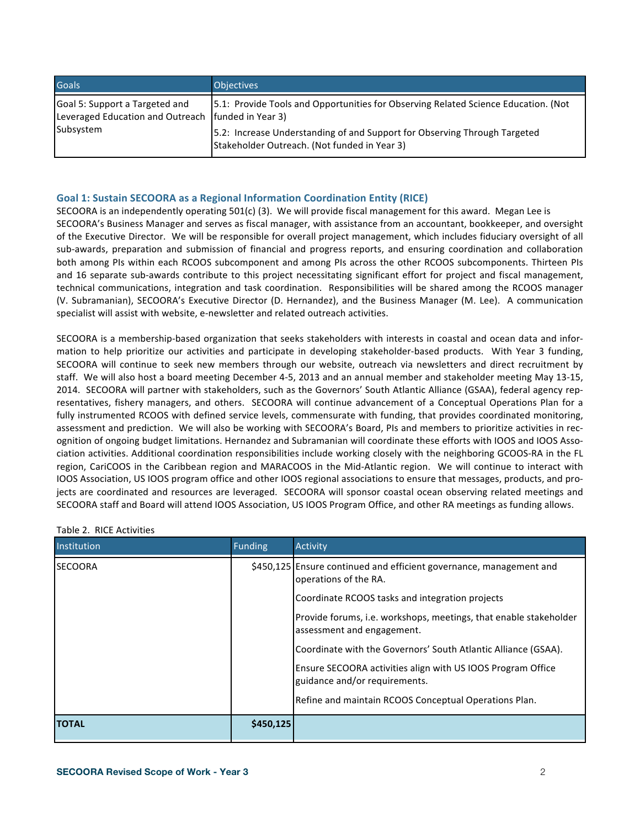| <b>Goals</b>                                                                           | <b>Objectives</b>                                                                                                         |
|----------------------------------------------------------------------------------------|---------------------------------------------------------------------------------------------------------------------------|
| Goal 5: Support a Targeted and<br>Leveraged Education and Outreach   funded in Year 3) | [5.1: Provide Tools and Opportunities for Observing Related Science Education. (Not                                       |
| Subsystem                                                                              | 5.2: Increase Understanding of and Support for Observing Through Targeted<br>Stakeholder Outreach. (Not funded in Year 3) |

## Goal 1: Sustain SECOORA as a Regional Information Coordination Entity (RICE)

SECOORA is an independently operating 501(c) (3). We will provide fiscal management for this award. Megan Lee is SECOORA's Business Manager and serves as fiscal manager, with assistance from an accountant, bookkeeper, and oversight of the Executive Director. We will be responsible for overall project management, which includes fiduciary oversight of all sub-awards, preparation and submission of financial and progress reports, and ensuring coordination and collaboration both among PIs within each RCOOS subcomponent and among PIs across the other RCOOS subcomponents. Thirteen PIs and 16 separate sub-awards contribute to this project necessitating significant effort for project and fiscal management, technical communications, integration and task coordination. Responsibilities will be shared among the RCOOS manager (V. Subramanian), SECOORA's Executive Director (D. Hernandez), and the Business Manager (M. Lee). A communication specialist will assist with website, e-newsletter and related outreach activities.

SECOORA is a membership-based organization that seeks stakeholders with interests in coastal and ocean data and information to help prioritize our activities and participate in developing stakeholder-based products. With Year 3 funding, SECOORA will continue to seek new members through our website, outreach via newsletters and direct recruitment by staff. We will also host a board meeting December 4-5, 2013 and an annual member and stakeholder meeting May 13-15, 2014. SECOORA will partner with stakeholders, such as the Governors' South Atlantic Alliance (GSAA), federal agency representatives, fishery managers, and others. SECOORA will continue advancement of a Conceptual Operations Plan for a fully instrumented RCOOS with defined service levels, commensurate with funding, that provides coordinated monitoring, assessment and prediction. We will also be working with SECOORA's Board, PIs and members to prioritize activities in recognition of ongoing budget limitations. Hernandez and Subramanian will coordinate these efforts with IOOS and IOOS Association activities. Additional coordination responsibilities include working closely with the neighboring GCOOS-RA in the FL region, CariCOOS in the Caribbean region and MARACOOS in the Mid-Atlantic region. We will continue to interact with IOOS Association, US IOOS program office and other IOOS regional associations to ensure that messages, products, and projects are coordinated and resources are leveraged. SECOORA will sponsor coastal ocean observing related meetings and SECOORA staff and Board will attend IOOS Association, US IOOS Program Office, and other RA meetings as funding allows.

| Institution    | <b>Funding</b> | <b>Activity</b>                                                                                                                                                                                                      |
|----------------|----------------|----------------------------------------------------------------------------------------------------------------------------------------------------------------------------------------------------------------------|
| <b>SECOORA</b> |                | \$450,125 Ensure continued and efficient governance, management and<br>operations of the RA.<br>Coordinate RCOOS tasks and integration projects<br>Provide forums, i.e. workshops, meetings, that enable stakeholder |
|                |                | assessment and engagement.                                                                                                                                                                                           |
|                |                | Coordinate with the Governors' South Atlantic Alliance (GSAA).                                                                                                                                                       |
|                |                | Ensure SECOORA activities align with US IOOS Program Office<br>guidance and/or requirements.                                                                                                                         |
|                |                | Refine and maintain RCOOS Conceptual Operations Plan.                                                                                                                                                                |
| <b>TOTAL</b>   | \$450,125      |                                                                                                                                                                                                                      |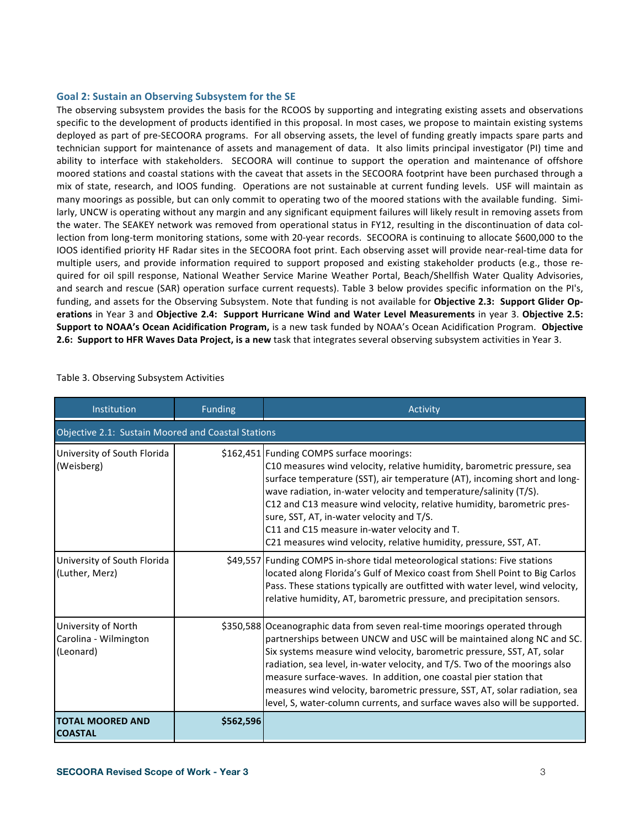#### Goal 2: Sustain an Observing Subsystem for the SE

The observing subsystem provides the basis for the RCOOS by supporting and integrating existing assets and observations specific to the development of products identified in this proposal. In most cases, we propose to maintain existing systems deployed as part of pre-SECOORA programs. For all observing assets, the level of funding greatly impacts spare parts and technician support for maintenance of assets and management of data. It also limits principal investigator (PI) time and ability to interface with stakeholders. SECOORA will continue to support the operation and maintenance of offshore moored stations and coastal stations with the caveat that assets in the SECOORA footprint have been purchased through a mix of state, research, and IOOS funding. Operations are not sustainable at current funding levels. USF will maintain as many moorings as possible, but can only commit to operating two of the moored stations with the available funding. Similarly, UNCW is operating without any margin and any significant equipment failures will likely result in removing assets from the water. The SEAKEY network was removed from operational status in FY12, resulting in the discontinuation of data collection from long-term monitoring stations, some with 20-year records. SECOORA is continuing to allocate \$600,000 to the IOOS identified priority HF Radar sites in the SECOORA foot print. Each observing asset will provide near-real-time data for multiple users, and provide information required to support proposed and existing stakeholder products (e.g., those required for oil spill response, National Weather Service Marine Weather Portal, Beach/Shellfish Water Quality Advisories, and search and rescue (SAR) operation surface current requests). Table 3 below provides specific information on the PI's, funding, and assets for the Observing Subsystem. Note that funding is not available for Objective 2.3: Support Glider Op**erations** in Year 3 and Objective 2.4: Support Hurricane Wind and Water Level Measurements in year 3. Objective 2.5: Support to NOAA's Ocean Acidification Program, is a new task funded by NOAA's Ocean Acidification Program. Objective 2.6: Support to HFR Waves Data Project, is a new task that integrates several observing subsystem activities in Year 3.

| Institution                                               | <b>Funding</b> | <b>Activity</b>                                                                                                                                                                                                                                                                                                                                                                                                                                                                                                                               |  |  |  |
|-----------------------------------------------------------|----------------|-----------------------------------------------------------------------------------------------------------------------------------------------------------------------------------------------------------------------------------------------------------------------------------------------------------------------------------------------------------------------------------------------------------------------------------------------------------------------------------------------------------------------------------------------|--|--|--|
| Objective 2.1: Sustain Moored and Coastal Stations        |                |                                                                                                                                                                                                                                                                                                                                                                                                                                                                                                                                               |  |  |  |
| University of South Florida<br>(Weisberg)                 |                | \$162,451 Funding COMPS surface moorings:<br>C10 measures wind velocity, relative humidity, barometric pressure, sea<br>surface temperature (SST), air temperature (AT), incoming short and long-<br>wave radiation, in-water velocity and temperature/salinity (T/S).<br>C12 and C13 measure wind velocity, relative humidity, barometric pres-<br>sure, SST, AT, in-water velocity and T/S.<br>C11 and C15 measure in-water velocity and T.<br>C21 measures wind velocity, relative humidity, pressure, SST, AT.                            |  |  |  |
| University of South Florida<br>(Luther, Merz)             |                | \$49,557 Funding COMPS in-shore tidal meteorological stations: Five stations<br>located along Florida's Gulf of Mexico coast from Shell Point to Big Carlos<br>Pass. These stations typically are outfitted with water level, wind velocity,<br>relative humidity, AT, barometric pressure, and precipitation sensors.                                                                                                                                                                                                                        |  |  |  |
| University of North<br>Carolina - Wilmington<br>(Leonard) |                | \$350,588 Oceanographic data from seven real-time moorings operated through<br>partnerships between UNCW and USC will be maintained along NC and SC.<br>Six systems measure wind velocity, barometric pressure, SST, AT, solar<br>radiation, sea level, in-water velocity, and T/S. Two of the moorings also<br>measure surface-waves. In addition, one coastal pier station that<br>measures wind velocity, barometric pressure, SST, AT, solar radiation, sea<br>level, S, water-column currents, and surface waves also will be supported. |  |  |  |
| <b>TOTAL MOORED AND</b><br><b>COASTAL</b>                 | \$562,596      |                                                                                                                                                                                                                                                                                                                                                                                                                                                                                                                                               |  |  |  |

Table 3. Observing Subsystem Activities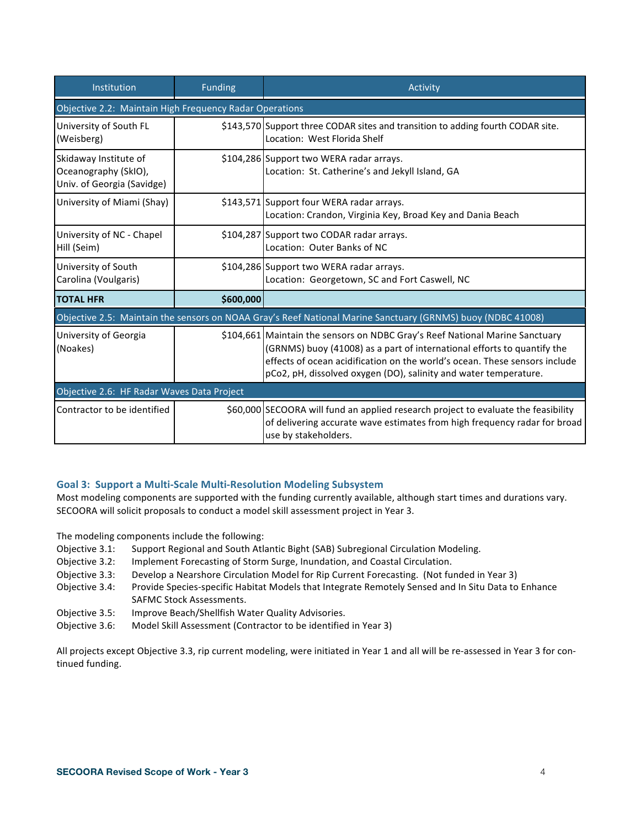| Institution                                                                 | <b>Funding</b> | <b>Activity</b>                                                                                                                                                                                                                                                                                           |  |  |
|-----------------------------------------------------------------------------|----------------|-----------------------------------------------------------------------------------------------------------------------------------------------------------------------------------------------------------------------------------------------------------------------------------------------------------|--|--|
| Objective 2.2: Maintain High Frequency Radar Operations                     |                |                                                                                                                                                                                                                                                                                                           |  |  |
| University of South FL<br>(Weisberg)                                        |                | \$143,570 Support three CODAR sites and transition to adding fourth CODAR site.<br>Location: West Florida Shelf                                                                                                                                                                                           |  |  |
| Skidaway Institute of<br>Oceanography (SkIO),<br>Univ. of Georgia (Savidge) |                | \$104,286 Support two WERA radar arrays.<br>Location: St. Catherine's and Jekyll Island, GA                                                                                                                                                                                                               |  |  |
| University of Miami (Shay)                                                  |                | \$143,571 Support four WERA radar arrays.<br>Location: Crandon, Virginia Key, Broad Key and Dania Beach                                                                                                                                                                                                   |  |  |
| University of NC - Chapel<br>Hill (Seim)                                    |                | \$104,287 Support two CODAR radar arrays.<br>Location: Outer Banks of NC                                                                                                                                                                                                                                  |  |  |
| University of South<br>Carolina (Voulgaris)                                 |                | \$104,286 Support two WERA radar arrays.<br>Location: Georgetown, SC and Fort Caswell, NC                                                                                                                                                                                                                 |  |  |
| <b>TOTAL HFR</b>                                                            | \$600,000      |                                                                                                                                                                                                                                                                                                           |  |  |
|                                                                             |                | Objective 2.5: Maintain the sensors on NOAA Gray's Reef National Marine Sanctuary (GRNMS) buoy (NDBC 41008)                                                                                                                                                                                               |  |  |
| University of Georgia<br>(Noakes)                                           |                | \$104,661 Maintain the sensors on NDBC Gray's Reef National Marine Sanctuary<br>(GRNMS) buoy (41008) as a part of international efforts to quantify the<br>effects of ocean acidification on the world's ocean. These sensors include<br>pCo2, pH, dissolved oxygen (DO), salinity and water temperature. |  |  |
| Objective 2.6: HF Radar Waves Data Project                                  |                |                                                                                                                                                                                                                                                                                                           |  |  |
| Contractor to be identified                                                 |                | \$60,000 SECOORA will fund an applied research project to evaluate the feasibility<br>of delivering accurate wave estimates from high frequency radar for broad<br>use by stakeholders.                                                                                                                   |  |  |

## Goal 3: Support a Multi-Scale Multi-Resolution Modeling Subsystem

Most modeling components are supported with the funding currently available, although start times and durations vary. SECOORA will solicit proposals to conduct a model skill assessment project in Year 3.

The modeling components include the following:

- Objective 3.1: Support Regional and South Atlantic Bight (SAB) Subregional Circulation Modeling.
- Objective 3.2: Implement Forecasting of Storm Surge, Inundation, and Coastal Circulation.
- Objective 3.3: Develop a Nearshore Circulation Model for Rip Current Forecasting. (Not funded in Year 3)
- Objective 3.4: Provide Species-specific Habitat Models that Integrate Remotely Sensed and In Situ Data to Enhance SAFMC Stock Assessments.
- Objective 3.5: Improve Beach/Shellfish Water Quality Advisories.
- Objective 3.6: Model Skill Assessment (Contractor to be identified in Year 3)

All projects except Objective 3.3, rip current modeling, were initiated in Year 1 and all will be re-assessed in Year 3 for continued funding.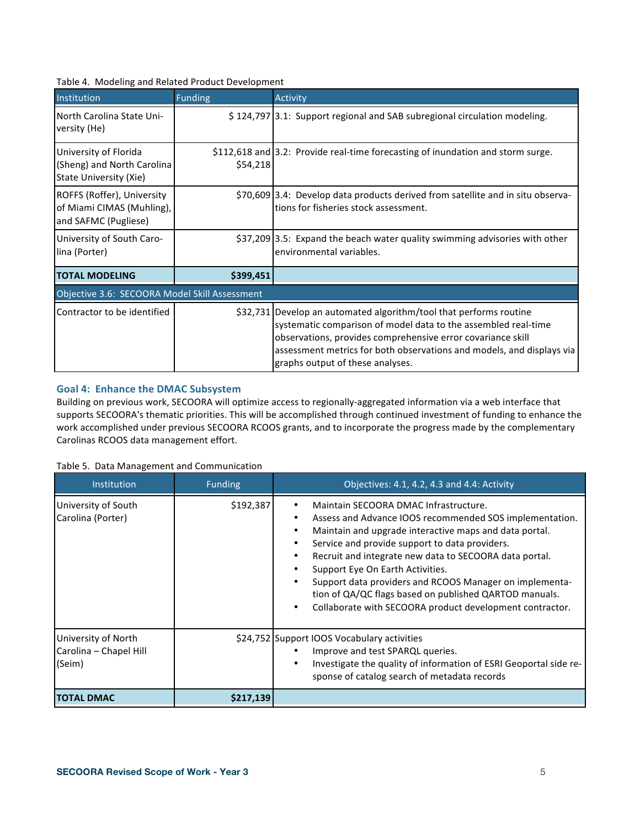# Table 4. Modeling and Related Product Development

| Institution                                                                                                                           | <b>Funding</b> | <b>Activity</b>                                                                                                                                                                                        |  |  |  |
|---------------------------------------------------------------------------------------------------------------------------------------|----------------|--------------------------------------------------------------------------------------------------------------------------------------------------------------------------------------------------------|--|--|--|
| North Carolina State Uni-<br>versity (He)                                                                                             |                | \$124,797 3.1: Support regional and SAB subregional circulation modeling.                                                                                                                              |  |  |  |
| University of Florida<br>(Sheng) and North Carolina<br>State University (Xie)                                                         | \$54,218       | \$112,618 and 3.2: Provide real-time forecasting of inundation and storm surge.                                                                                                                        |  |  |  |
| ROFFS (Roffer), University<br>of Miami CIMAS (Muhling),<br>and SAFMC (Pugliese)                                                       |                | \$70,609 3.4: Develop data products derived from satellite and in situ observa-<br>tions for fisheries stock assessment.                                                                               |  |  |  |
| University of South Caro-<br>lina (Porter)                                                                                            |                | \$37,209 3.5: Expand the beach water quality swimming advisories with other<br>environmental variables.                                                                                                |  |  |  |
| <b>TOTAL MODELING</b>                                                                                                                 | \$399,451      |                                                                                                                                                                                                        |  |  |  |
| Objective 3.6: SECOORA Model Skill Assessment                                                                                         |                |                                                                                                                                                                                                        |  |  |  |
| Contractor to be identified<br>\$32,731 Develop an automated algorithm/tool that performs routine<br>graphs output of these analyses. |                | systematic comparison of model data to the assembled real-time<br>observations, provides comprehensive error covariance skill<br>assessment metrics for both observations and models, and displays via |  |  |  |

## Goal 4: Enhance the DMAC Subsystem

Building on previous work, SECOORA will optimize access to regionally-aggregated information via a web interface that supports SECOORA's thematic priorities. This will be accomplished through continued investment of funding to enhance the work accomplished under previous SECOORA RCOOS grants, and to incorporate the progress made by the complementary Carolinas RCOOS data management effort.

#### Table 5. Data Management and Communication

| Institution                                             | <b>Funding</b> | Objectives: 4.1, 4.2, 4.3 and 4.4: Activity                                                                                                                                                                                                                                                                                                                                                                                                                                                 |
|---------------------------------------------------------|----------------|---------------------------------------------------------------------------------------------------------------------------------------------------------------------------------------------------------------------------------------------------------------------------------------------------------------------------------------------------------------------------------------------------------------------------------------------------------------------------------------------|
| University of South<br>Carolina (Porter)                | \$192,387      | Maintain SECOORA DMAC Infrastructure.<br>Assess and Advance IOOS recommended SOS implementation.<br>Maintain and upgrade interactive maps and data portal.<br>Service and provide support to data providers.<br>Recruit and integrate new data to SECOORA data portal.<br>Support Eye On Earth Activities.<br>Support data providers and RCOOS Manager on implementa-<br>tion of QA/QC flags based on published QARTOD manuals.<br>Collaborate with SECOORA product development contractor. |
| University of North<br>Carolina - Chapel Hill<br>(Seim) |                | \$24,752 Support IOOS Vocabulary activities<br>Improve and test SPARQL queries.<br>Investigate the quality of information of ESRI Geoportal side re-<br>sponse of catalog search of metadata records                                                                                                                                                                                                                                                                                        |
| ITOTAL DMAC                                             | \$217,139      |                                                                                                                                                                                                                                                                                                                                                                                                                                                                                             |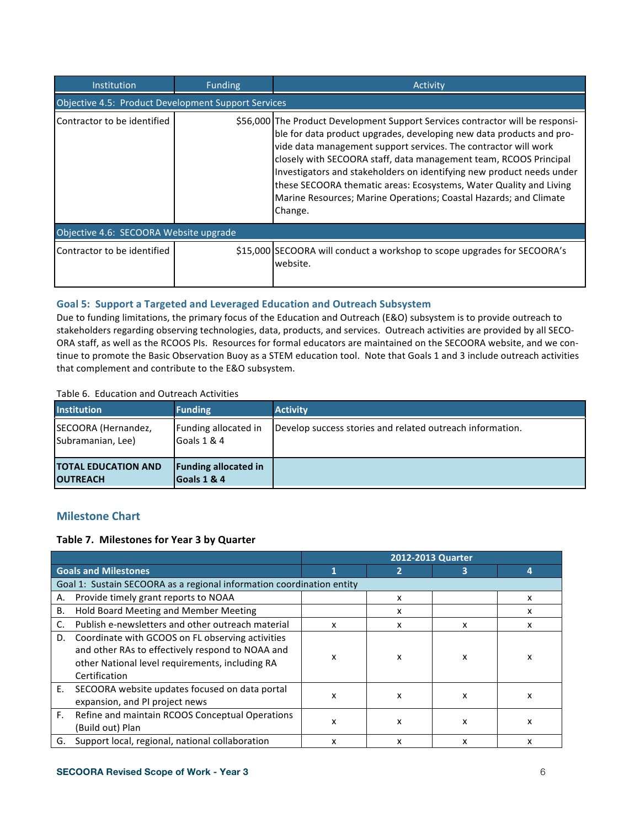| <b>Institution</b>                                  | <b>Funding</b> | Activity                                                                                                                                                                                                                                                                                                                                                                                                                                                                                                                      |  |
|-----------------------------------------------------|----------------|-------------------------------------------------------------------------------------------------------------------------------------------------------------------------------------------------------------------------------------------------------------------------------------------------------------------------------------------------------------------------------------------------------------------------------------------------------------------------------------------------------------------------------|--|
| Objective 4.5: Product Development Support Services |                |                                                                                                                                                                                                                                                                                                                                                                                                                                                                                                                               |  |
| Contractor to be identified                         |                | \$56,000 The Product Development Support Services contractor will be responsi-<br>ble for data product upgrades, developing new data products and pro-<br>vide data management support services. The contractor will work<br>closely with SECOORA staff, data management team, RCOOS Principal<br>Investigators and stakeholders on identifying new product needs under<br>these SECOORA thematic areas: Ecosystems, Water Quality and Living<br>Marine Resources; Marine Operations; Coastal Hazards; and Climate<br>Change. |  |
| Objective 4.6: SECOORA Website upgrade              |                |                                                                                                                                                                                                                                                                                                                                                                                                                                                                                                                               |  |
| Contractor to be identified                         |                | \$15,000 SECOORA will conduct a workshop to scope upgrades for SECOORA's<br>website.                                                                                                                                                                                                                                                                                                                                                                                                                                          |  |

# Goal 5: Support a Targeted and Leveraged Education and Outreach Subsystem

Due to funding limitations, the primary focus of the Education and Outreach (E&O) subsystem is to provide outreach to stakeholders regarding observing technologies, data, products, and services. Outreach activities are provided by all SECO-ORA staff, as well as the RCOOS PIs. Resources for formal educators are maintained on the SECOORA website, and we continue to promote the Basic Observation Buoy as a STEM education tool. Note that Goals 1 and 3 include outreach activities that complement and contribute to the E&O subsystem.

#### Table 6. Education and Outreach Activities

| <b>Institution</b>                            | <b>Funding</b>                             | <b>Activity</b>                                           |
|-----------------------------------------------|--------------------------------------------|-----------------------------------------------------------|
| SECOORA (Hernandez,<br>Subramanian, Lee)      | Funding allocated in<br>Goals 1 & 4        | Develop success stories and related outreach information. |
| <b>TOTAL EDUCATION AND</b><br><b>OUTREACH</b> | <b>Funding allocated in</b><br>Goals 1 & 4 |                                                           |

# **Milestone Chart**

## Table 7. Milestones for Year 3 by Quarter

|    |                                                                                                                                                                          |   |   | 2012-2013 Quarter |   |
|----|--------------------------------------------------------------------------------------------------------------------------------------------------------------------------|---|---|-------------------|---|
|    | <b>Goals and Milestones</b>                                                                                                                                              |   |   |                   |   |
|    | Goal 1: Sustain SECOORA as a regional information coordination entity                                                                                                    |   |   |                   |   |
| А. | Provide timely grant reports to NOAA                                                                                                                                     |   | x |                   | x |
| В. | Hold Board Meeting and Member Meeting                                                                                                                                    |   | x |                   | x |
| C. | Publish e-newsletters and other outreach material                                                                                                                        | x | x | x                 | x |
| D. | Coordinate with GCOOS on FL observing activities<br>and other RAs to effectively respond to NOAA and<br>other National level requirements, including RA<br>Certification | x | x | X                 | x |
| Ε. | SECOORA website updates focused on data portal<br>expansion, and PI project news                                                                                         | x | x | X                 | х |
| F. | Refine and maintain RCOOS Conceptual Operations<br>(Build out) Plan                                                                                                      | x | x | X                 | x |
| G. | Support local, regional, national collaboration                                                                                                                          | x | x | x                 | x |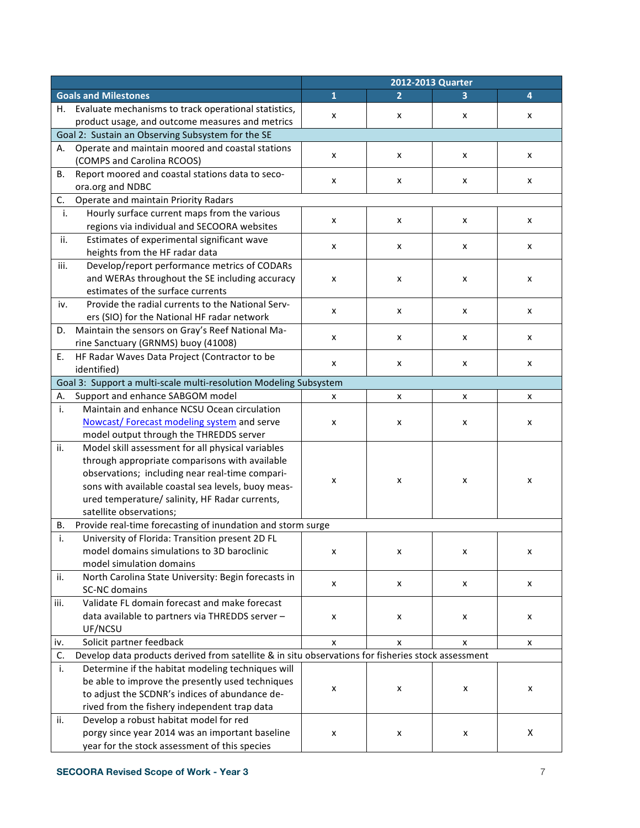|                                                                                                                              | 2012-2013 Quarter |  |
|------------------------------------------------------------------------------------------------------------------------------|-------------------|--|
| $\overline{\mathbf{1}}$<br><b>Goals and Milestones</b><br>2<br>3                                                             | 4                 |  |
| Evaluate mechanisms to track operational statistics,<br>Н.<br>X<br>x<br>X<br>product usage, and outcome measures and metrics | x                 |  |
| Goal 2: Sustain an Observing Subsystem for the SE                                                                            |                   |  |
| Operate and maintain moored and coastal stations<br>А.                                                                       |                   |  |
| x<br>x<br>x<br>(COMPS and Carolina RCOOS)                                                                                    | x                 |  |
| Report moored and coastal stations data to seco-<br>В.                                                                       |                   |  |
| X<br>x<br>x<br>ora.org and NDBC                                                                                              | x                 |  |
| C.<br>Operate and maintain Priority Radars                                                                                   |                   |  |
| Hourly surface current maps from the various<br>i.                                                                           |                   |  |
| X<br>x<br>x<br>regions via individual and SECOORA websites                                                                   | X                 |  |
| Estimates of experimental significant wave<br>ii.                                                                            |                   |  |
| x<br>x<br>X<br>heights from the HF radar data                                                                                | x                 |  |
| iii.<br>Develop/report performance metrics of CODARs                                                                         |                   |  |
| and WERAs throughout the SE including accuracy<br>x<br>x<br>x                                                                | x                 |  |
| estimates of the surface currents                                                                                            |                   |  |
| Provide the radial currents to the National Serv-<br>iv.                                                                     |                   |  |
| X<br>x<br>x<br>ers (SIO) for the National HF radar network                                                                   | x                 |  |
| Maintain the sensors on Gray's Reef National Ma-<br>D.                                                                       |                   |  |
| x<br>x<br>x<br>rine Sanctuary (GRNMS) buoy (41008)                                                                           | x                 |  |
| HF Radar Waves Data Project (Contractor to be<br>Ε.                                                                          |                   |  |
| X<br>x<br>x<br>identified)                                                                                                   | X                 |  |
| Goal 3: Support a multi-scale multi-resolution Modeling Subsystem                                                            |                   |  |
| Support and enhance SABGOM model<br>Α.<br>x<br>x<br>X                                                                        | x                 |  |
| Maintain and enhance NCSU Ocean circulation<br>i.                                                                            |                   |  |
| Nowcast/Forecast modeling system and serve<br>X<br>X<br>x                                                                    | x                 |  |
| model output through the THREDDS server                                                                                      |                   |  |
| Model skill assessment for all physical variables<br>ii.                                                                     |                   |  |
| through appropriate comparisons with available                                                                               |                   |  |
| observations; including near real-time compari-<br>X<br>x<br>x                                                               | x                 |  |
| sons with available coastal sea levels, buoy meas-                                                                           |                   |  |
| ured temperature/ salinity, HF Radar currents,                                                                               |                   |  |
| satellite observations;                                                                                                      |                   |  |
| Provide real-time forecasting of inundation and storm surge<br>В.                                                            |                   |  |
| i.<br>University of Florida: Transition present 2D FL                                                                        |                   |  |
| model domains simulations to 3D baroclinic<br>x<br>x<br>x                                                                    | x                 |  |
| model simulation domains                                                                                                     |                   |  |
| North Carolina State University: Begin forecasts in<br>ii.<br>X<br>X<br>x                                                    | X                 |  |
| <b>SC-NC</b> domains                                                                                                         |                   |  |
| Validate FL domain forecast and make forecast<br>iii.                                                                        |                   |  |
| data available to partners via THREDDS server -<br>x<br>x<br>x                                                               | x                 |  |
| UF/NCSU                                                                                                                      |                   |  |
| Solicit partner feedback<br>i۷.<br>x<br>x<br>x                                                                               | X                 |  |
| Develop data products derived from satellite & in situ observations for fisheries stock assessment<br>C.                     |                   |  |
| Determine if the habitat modeling techniques will<br>i.                                                                      |                   |  |
| be able to improve the presently used techniques<br>x<br>x<br>x                                                              | x                 |  |
| to adjust the SCDNR's indices of abundance de-                                                                               |                   |  |
| rived from the fishery independent trap data<br>ii.                                                                          |                   |  |
| Develop a robust habitat model for red                                                                                       |                   |  |
| porgy since year 2014 was an important baseline<br>X<br>x<br>x                                                               | X                 |  |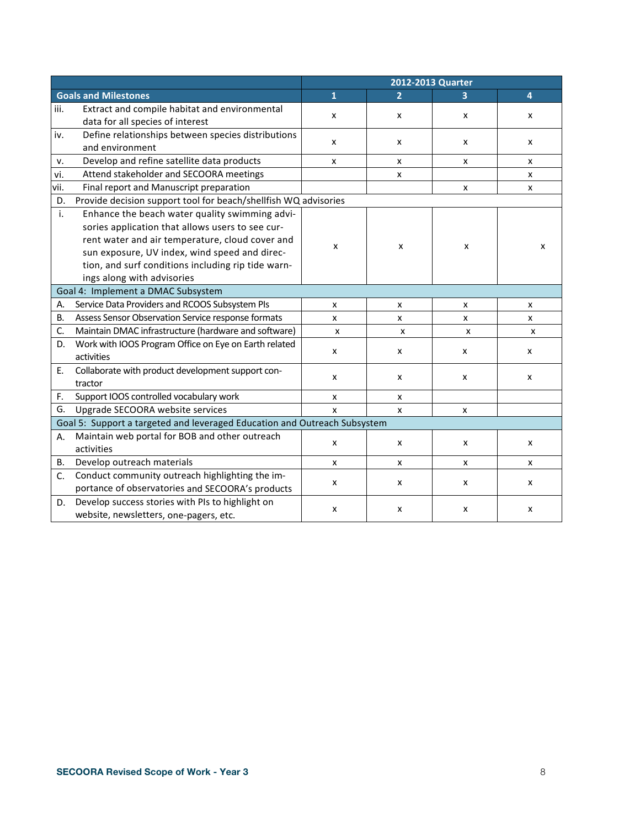|           |                                                                           | 2012-2013 Quarter |                |   |                |  |  |  |
|-----------|---------------------------------------------------------------------------|-------------------|----------------|---|----------------|--|--|--|
|           | <b>Goals and Milestones</b>                                               | $\mathbf{1}$      | $\overline{2}$ | 3 | $\overline{4}$ |  |  |  |
| iii.      | Extract and compile habitat and environmental                             |                   |                |   |                |  |  |  |
|           | data for all species of interest                                          | x                 | x              | X | x              |  |  |  |
| iv.       | Define relationships between species distributions                        | x                 |                | x | x              |  |  |  |
|           | and environment                                                           |                   | x              |   |                |  |  |  |
| v.        | Develop and refine satellite data products                                | $\pmb{\times}$    | $\pmb{\times}$ | X | x              |  |  |  |
| vi.       | Attend stakeholder and SECOORA meetings                                   |                   | x              |   | x              |  |  |  |
| vii.      | Final report and Manuscript preparation                                   |                   |                | x | x              |  |  |  |
| D.        | Provide decision support tool for beach/shellfish WQ advisories           |                   |                |   |                |  |  |  |
| i.        | Enhance the beach water quality swimming advi-                            |                   |                | x | x              |  |  |  |
|           | sories application that allows users to see cur-                          | x                 | x              |   |                |  |  |  |
|           | rent water and air temperature, cloud cover and                           |                   |                |   |                |  |  |  |
|           | sun exposure, UV index, wind speed and direc-                             |                   |                |   |                |  |  |  |
|           | tion, and surf conditions including rip tide warn-                        |                   |                |   |                |  |  |  |
|           | ings along with advisories                                                |                   |                |   |                |  |  |  |
|           | Goal 4: Implement a DMAC Subsystem                                        |                   |                |   |                |  |  |  |
| А.        | Service Data Providers and RCOOS Subsystem PIs                            | x                 | x              | x | x              |  |  |  |
| <b>B.</b> | Assess Sensor Observation Service response formats                        | $\pmb{\times}$    | X              | x | X              |  |  |  |
| C.        | Maintain DMAC infrastructure (hardware and software)                      | x                 | x              | x | x              |  |  |  |
| D.        | Work with IOOS Program Office on Eye on Earth related                     |                   | x              | x | x              |  |  |  |
|           | activities                                                                | х                 |                |   |                |  |  |  |
| E.        | Collaborate with product development support con-                         | x                 | x              | x | x              |  |  |  |
|           | tractor                                                                   |                   |                |   |                |  |  |  |
| F.        | Support IOOS controlled vocabulary work                                   | x                 | x              |   |                |  |  |  |
| G.        | Upgrade SECOORA website services                                          | X                 | X              | x |                |  |  |  |
|           | Goal 5: Support a targeted and leveraged Education and Outreach Subsystem |                   |                |   |                |  |  |  |
| Α.        | Maintain web portal for BOB and other outreach                            |                   |                |   |                |  |  |  |
|           | activities                                                                | x                 | x              | x | x              |  |  |  |
| <b>B.</b> | Develop outreach materials                                                | x                 | X              | x | x              |  |  |  |
| C.        | Conduct community outreach highlighting the im-                           | X                 | X              | X | X              |  |  |  |
|           | portance of observatories and SECOORA's products                          |                   |                |   |                |  |  |  |
| D.        | Develop success stories with PIs to highlight on                          | х                 | x              | x | x              |  |  |  |
|           | website, newsletters, one-pagers, etc.                                    |                   |                |   |                |  |  |  |